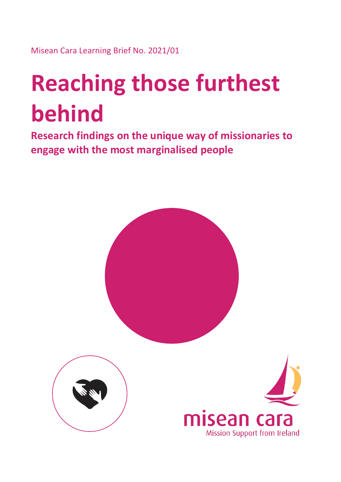Misean Cara Learning Brief No. 2021/01

# **Reaching those furthest behind**

**Research findings on the unique way of missionaries to engage with the most marginalised people**

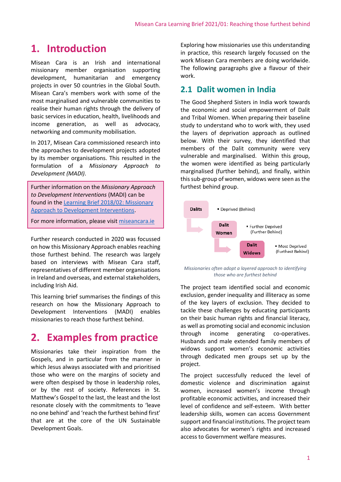## **1. Introduction**

Misean Cara is an Irish and international missionary member organisation supporting development, humanitarian and emergency projects in over 50 countries in the Global South. Misean Cara's members work with some of the most marginalised and vulnerable communities to realise their human rights through the delivery of basic services in education, health, livelihoods and income generation, as well as advocacy, networking and community mobilisation.

In 2017, Misean Cara commissioned research into the approaches to development projects adopted by its member organisations. This resulted in the formulation of a *Missionary Approach to Development (MADI)*.

Further information on the *Missionary Approach to Development Interventions* (MADI) can be found in the [Learning Brief 2018/02: Missionary](http://www.miseancara.ie/wp-content/uploads/2018/09/LB2018-02-Faith-based-and-Missionary-Approach-to-Development.pdf)  [Approach to Development Interventions.](http://www.miseancara.ie/wp-content/uploads/2018/09/LB2018-02-Faith-based-and-Missionary-Approach-to-Development.pdf)

For more information, please visi[t miseancara.ie](https://www.miseancara.ie/)

Further research conducted in 2020 was focussed on how this Missionary Approach enables reaching those furthest behind. The research was largely based on interviews with Misean Cara staff, representatives of different member organisations in Ireland and overseas, and external stakeholders, including Irish Aid.

This learning brief summarises the findings of this research on how the Missionary Approach to Development Interventions (MADI) enables missionaries to reach those furthest behind.

# **2. Examples from practice**

Missionaries take their inspiration from the Gospels, and in particular from the manner in which Jesus always associated with and prioritised those who were on the margins of society and were often despised by those in leadership roles, or by the rest of society. References in St. Matthew's Gospel to the last, the least and the lost resonate closely with the commitments to 'leave no one behind' and 'reach the furthest behind first' that are at the core of the UN Sustainable Development Goals.

Exploring how missionaries use this understanding in practice, this research largely focussed on the work Misean Cara members are doing worldwide. The following paragraphs give a flavour of their work.

#### **2.1 Dalit women in India**

The Good Shepherd Sisters in India work towards the economic and social empowerment of Dalit and Tribal Women. When preparing their baseline study to understand who to work with, they used the layers of deprivation approach as outlined below. With their survey, they identified that members of the Dalit community were very vulnerable and marginalised. Within this group, the women were identified as being particularly marginalised (further behind), and finally, within this sub-group of women, widows were seen as the furthest behind group.



*Missionaries often adopt a layered approach to identifying those who are furthest behind*

The project team identified social and economic exclusion, gender inequality and illiteracy as some of the key layers of exclusion. They decided to tackle these challenges by educating participants on their basic human rights and financial literacy, as well as promoting social and economic inclusion through income generating co-operatives. Husbands and male extended family members of widows support women's economic activities through dedicated men groups set up by the project.

The project successfully reduced the level of domestic violence and discrimination against women, increased women's income through profitable economic activities, and increased their level of confidence and self-esteem. With better leadership skills, women can access Government support and financial institutions. The project team also advocates for women's rights and increased access to Government welfare measures.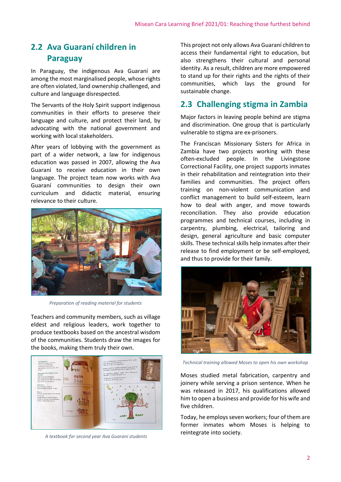## **2.2 Ava Guaraní children in Paraguay**

In Paraguay, the indigenous Ava Guaraní are among the most marginalised people, whose rights are often violated, land ownership challenged, and culture and language disrespected.

The Servants of the Holy Spirit support indigenous communities in their efforts to preserve their language and culture, and protect their land, by advocating with the national government and working with local stakeholders.

After years of lobbying with the government as part of a wider network, a law for indigenous education was passed in 2007, allowing the Ava Guaraní to receive education in their own language. The project team now works with Ava Guaraní communities to design their own curriculum and didactic material, ensuring relevance to their culture.



*Preparation of reading material for students*

Teachers and community members, such as village eldest and religious leaders, work together to produce textbooks based on the ancestral wisdom of the communities. Students draw the images for the books, making them truly their own.



*A textbook for second year Ava Guaraní students*

This project not only allows Ava Guaraní children to access their fundamental right to education, but also strengthens their cultural and personal identity. As a result, children are more empowered to stand up for their rights and the rights of their communities, which lays the ground for sustainable change.

## **2.3 Challenging stigma in Zambia**

Major factors in leaving people behind are stigma and discrimination. One group that is particularly vulnerable to stigma are ex-prisoners.

The Franciscan Missionary Sisters for Africa in Zambia have two projects working with these often-excluded people. In the Livingstone Correctional Facility, one project supports inmates in their rehabilitation and reintegration into their families and communities. The project offers training on non-violent communication and conflict management to build self-esteem, learn how to deal with anger, and move towards reconciliation. They also provide education programmes and technical courses, including in carpentry, plumbing, electrical, tailoring and design, general agriculture and basic computer skills. These technical skills help inmates after their release to find employment or be self-employed, and thus to provide for their family.



*Technical training allowed Moses to open his own workshop*

Moses studied metal fabrication, carpentry and joinery while serving a prison sentence. When he was released in 2017, his qualifications allowed him to open a business and provide for his wife and five children.

Today, he employs seven workers; four of them are former inmates whom Moses is helping to reintegrate into society.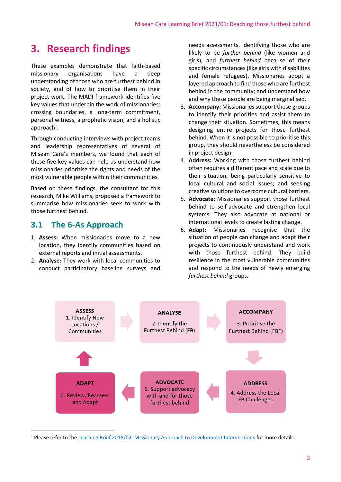# **3. Research findings**

These examples demonstrate that faith-based missionary organisations have a deep understanding of those who are furthest behind in society, and of how to prioritise them in their project work. The MADI framework identifies five key values that underpin the work of missionaries: crossing boundaries, a long-term commitment, personal witness, a prophetic vision, and a holistic  $approach<sup>1</sup>$ .

Through conducting interviews with project teams and leadership representatives of several of Misean Cara's members, we found that each of these five key values can help us understand how missionaries prioritise the rights and needs of the most vulnerable people within their communities.

Based on these findings, the consultant for this research, Mike Williams, proposed a framework to summarise how missionaries seek to work with those furthest behind.

#### **3.1 The 6-As Approach**

- 1. **Assess:** When missionaries move to a new location, they identify communities based on external reports and initial assessments.
- 2. **Analyse:** They work with local communities to conduct participatory baseline surveys and

needs assessments, identifying those who are likely to be *further behind* (like women and girls), and *furthest behind* because of their specific circumstances (like girls with disabilities and female refugees). Missionaries adopt a layered approach to find those who are furthest behind in the community; and understand how and why these people are being marginalised.

- 3. **Accompany:** Missionaries support these groups to identify their priorities and assist them to change their situation. Sometimes, this means designing entire projects for those furthest behind. When it is not possible to prioritise this group, they should nevertheless be considered in project design.
- 4. **Address:** Working with those furthest behind often requires a different pace and scale due to their situation, being particularly sensitive to local cultural and social issues; and seeking creative solutions to overcome cultural barriers.
- 5. **Advocate:** Missionaries support those furthest behind to self-advocate and strengthen local systems. They also advocate at national or international levels to create lasting change.
- 6. **Adapt:** Missionaries recognise that the situation of people can change and adapt their projects to continuously understand and work with those furthest behind. They build resilience in the most vulnerable communities and respond to the needs of newly emerging *furthest behind* groups.



<sup>&</sup>lt;sup>1</sup> Please refer to the [Learning Brief 2018/02: Missionary Approach to Development Interventions](http://www.miseancara.ie/wp-content/uploads/2018/09/LB2018-02-Faith-based-and-Missionary-Approach-to-Development.pdf) for more details.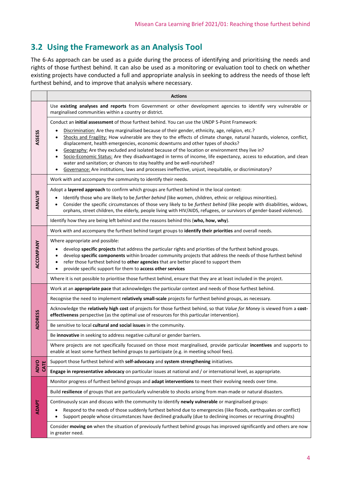## **3.2 Using the Framework as an Analysis Tool**

The 6-As approach can be used as a guide during the process of identifying and prioritising the needs and rights of those furthest behind. It can also be used as a monitoring or evaluation tool to check on whether existing projects have conducted a full and appropriate analysis in seeking to address the needs of those left furthest behind, and to improve that analysis where necessary.

|                     | <b>Actions</b>                                                                                                                                                                                                                                                                                                                                                                                                                                                                                                                                                                                                                                                                                                                    |
|---------------------|-----------------------------------------------------------------------------------------------------------------------------------------------------------------------------------------------------------------------------------------------------------------------------------------------------------------------------------------------------------------------------------------------------------------------------------------------------------------------------------------------------------------------------------------------------------------------------------------------------------------------------------------------------------------------------------------------------------------------------------|
| <b>ASSESS</b>       | Use existing analyses and reports from Government or other development agencies to identify very vulnerable or<br>marginalised communities within a country or district.                                                                                                                                                                                                                                                                                                                                                                                                                                                                                                                                                          |
|                     | Conduct an initial assessment of those furthest behind. You can use the UNDP 5-Point Framework:                                                                                                                                                                                                                                                                                                                                                                                                                                                                                                                                                                                                                                   |
|                     | Discrimination: Are they marginalised because of their gender, ethnicity, age, religion, etc.?<br>Shocks and Fragility: How vulnerable are they to the effects of climate change, natural hazards, violence, conflict,<br>displacement, health emergencies, economic downturns and other types of shocks?<br>Geography: Are they excluded and isolated because of the location or environment they live in?<br>$\bullet$<br>Socio-Economic Status: Are they disadvantaged in terms of income, life expectancy, access to education, and clean<br>water and sanitation; or chances to stay healthy and be well-nourished?<br>Governance: Are institutions, laws and processes ineffective, unjust, inequitable, or discriminatory? |
| ANALYSE             | Work with and accompany the community to identify their needs.                                                                                                                                                                                                                                                                                                                                                                                                                                                                                                                                                                                                                                                                    |
|                     | Adopt a layered approach to confirm which groups are furthest behind in the local context:                                                                                                                                                                                                                                                                                                                                                                                                                                                                                                                                                                                                                                        |
|                     | Identify those who are likely to be further behind (like women, children, ethnic or religious minorities).<br>Consider the specific circumstances of those very likely to be furthest behind (like people with disabilities, widows,<br>$\bullet$<br>orphans, street children, the elderly, people living with HIV/AIDS, refugees, or survivors of gender-based violence).                                                                                                                                                                                                                                                                                                                                                        |
|                     | Identify how they are being left behind and the reasons behind this (who, how, why).                                                                                                                                                                                                                                                                                                                                                                                                                                                                                                                                                                                                                                              |
| ACCOMPANY           | Work with and accompany the furthest behind target groups to identify their priorities and overall needs.                                                                                                                                                                                                                                                                                                                                                                                                                                                                                                                                                                                                                         |
|                     | Where appropriate and possible:<br>develop specific projects that address the particular rights and priorities of the furthest behind groups.<br>develop specific components within broader community projects that address the needs of those furthest behind<br>refer those furthest behind to other agencies that are better placed to support them<br>٠<br>provide specific support for them to access other services<br>$\bullet$                                                                                                                                                                                                                                                                                            |
|                     | Where it is not possible to prioritise those furthest behind, ensure that they are at least included in the project.                                                                                                                                                                                                                                                                                                                                                                                                                                                                                                                                                                                                              |
| <b>ADDRESS</b>      | Work at an appropriate pace that acknowledges the particular context and needs of those furthest behind.                                                                                                                                                                                                                                                                                                                                                                                                                                                                                                                                                                                                                          |
|                     | Recognise the need to implement relatively small-scale projects for furthest behind groups, as necessary.                                                                                                                                                                                                                                                                                                                                                                                                                                                                                                                                                                                                                         |
|                     | Acknowledge the relatively high cost of projects for those furthest behind, so that Value for Money is viewed from a cost-<br>effectiveness perspective (as the optimal use of resources for this particular intervention).                                                                                                                                                                                                                                                                                                                                                                                                                                                                                                       |
|                     | Be sensitive to local cultural and social issues in the community.                                                                                                                                                                                                                                                                                                                                                                                                                                                                                                                                                                                                                                                                |
|                     | Be innovative in seeking to address negative cultural or gender barriers.                                                                                                                                                                                                                                                                                                                                                                                                                                                                                                                                                                                                                                                         |
|                     | Where projects are not specifically focussed on those most marginalised, provide particular incentives and supports to<br>enable at least some furthest behind groups to participate (e.g. in meeting school fees).                                                                                                                                                                                                                                                                                                                                                                                                                                                                                                               |
| <b>ADVO</b><br>CATE | Support those furthest behind with self-advocacy and system strengthening initiatives.                                                                                                                                                                                                                                                                                                                                                                                                                                                                                                                                                                                                                                            |
|                     | Engage in representative advocacy on particular issues at national and / or international level, as appropriate.                                                                                                                                                                                                                                                                                                                                                                                                                                                                                                                                                                                                                  |
| <b>ADAPT</b>        | Monitor progress of furthest behind groups and adapt interventions to meet their evolving needs over time.                                                                                                                                                                                                                                                                                                                                                                                                                                                                                                                                                                                                                        |
|                     | Build resilience of groups that are particularly vulnerable to shocks arising from man-made or natural disasters.                                                                                                                                                                                                                                                                                                                                                                                                                                                                                                                                                                                                                 |
|                     | Continuously scan and discuss with the community to identify newly vulnerable or marginalised groups:                                                                                                                                                                                                                                                                                                                                                                                                                                                                                                                                                                                                                             |
|                     | Respond to the needs of those suddenly furthest behind due to emergencies (like floods, earthquakes or conflict)<br>Support people whose circumstances have declined gradually (due to declining incomes or recurring droughts)                                                                                                                                                                                                                                                                                                                                                                                                                                                                                                   |
|                     | Consider moving on when the situation of previously furthest behind groups has improved significantly and others are now<br>in greater need.                                                                                                                                                                                                                                                                                                                                                                                                                                                                                                                                                                                      |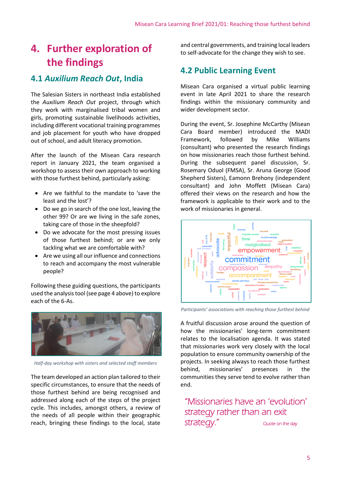# **4. Further exploration of the findings**

#### **4.1** *Auxilium Reach Out***, India**

The Salesian Sisters in northeast India established the *Auxilium Reach Out* project, through which they work with marginalised tribal women and girls, promoting sustainable livelihoods activities, including different vocational training programmes and job placement for youth who have dropped out of school, and adult literacy promotion.

After the launch of the Misean Cara research report in January 2021, the team organised a workshop to assess their own approach to working with those furthest behind, particularly asking:

- Are we faithful to the mandate to 'save the least and the lost'?
- Do we go in search of the one lost, leaving the other 99? Or are we living in the safe zones, taking care of those in the sheepfold?
- Do we advocate for the most pressing issues of those furthest behind; or are we only tackling what we are comfortable with?
- Are we using all our influence and connections to reach and accompany the most vulnerable people?

Following these guiding questions, the participants used the analysis tool (see page 4 above) to explore each of the 6-As.



*Half-day workshop with sisters and selected staff members*

The team developed an action plan tailored to their specific circumstances, to ensure that the needs of those furthest behind are being recognised and addressed along each of the steps of the project cycle. This includes, amongst others, a review of the needs of all people within their geographic reach, bringing these findings to the local, state

and central governments, and training local leaders to self-advocate for the change they wish to see.

## **4.2 Public Learning Event**

Misean Cara organised a virtual public learning event in late April 2021 to share the research findings within the missionary community and wider development sector.

During the event, Sr. Josephine McCarthy (Misean Cara Board member) introduced the MADI Framework, followed by Mike Williams (consultant) who presented the research findings on how missionaries reach those furthest behind. During the subsequent panel discussion, Sr. Rosemary Oduol (FMSA), Sr. Aruna George (Good Shepherd Sisters), Eamonn Brehony (independent consultant) and John Moffett (Misean Cara) offered their views on the research and how the framework is applicable to their work and to the work of missionaries in general.



*Participants' associations with reaching those furthest behind*

A fruitful discussion arose around the question of how the missionaries' long-term commitment relates to the localisation agenda. It was stated that missionaries work very closely with the local population to ensure community ownership of the projects. In seeking always to reach those furthest behind, missionaries' presences in the communities they serve tend to evolve rather than end.

"Missionaries have an 'evolution' strategy rather than an exit strategy." Quote on the day